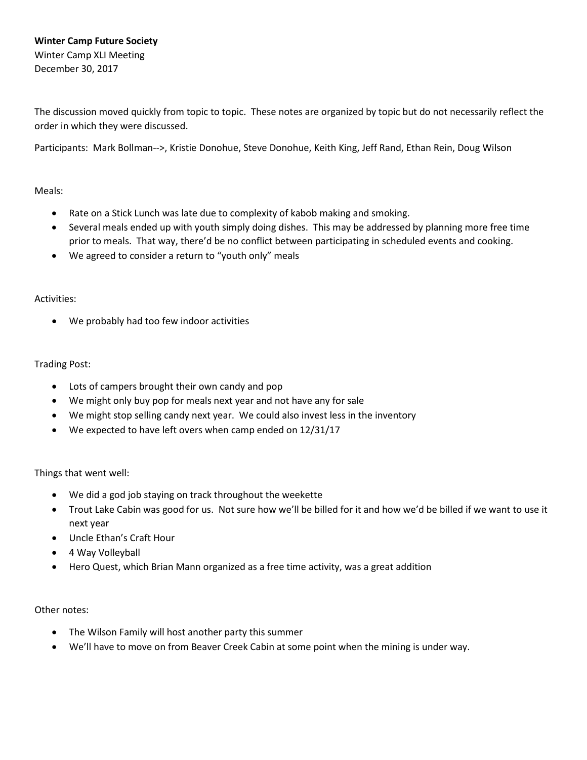The discussion moved quickly from topic to topic. These notes are organized by topic but do not necessarily reflect the order in which they were discussed.

Participants: Mark Bollman-->, Kristie Donohue, Steve Donohue, Keith King, Jeff Rand, Ethan Rein, Doug Wilson

## Meals:

- Rate on a Stick Lunch was late due to complexity of kabob making and smoking.
- Several meals ended up with youth simply doing dishes. This may be addressed by planning more free time prior to meals. That way, there'd be no conflict between participating in scheduled events and cooking.
- We agreed to consider a return to "youth only" meals

## Activities:

• We probably had too few indoor activities

## Trading Post:

- Lots of campers brought their own candy and pop
- We might only buy pop for meals next year and not have any for sale
- We might stop selling candy next year. We could also invest less in the inventory
- We expected to have left overs when camp ended on 12/31/17

Things that went well:

- We did a god job staying on track throughout the weekette
- Trout Lake Cabin was good for us. Not sure how we'll be billed for it and how we'd be billed if we want to use it next year
- Uncle Ethan's Craft Hour
- 4 Way Volleyball
- Hero Quest, which Brian Mann organized as a free time activity, was a great addition

## Other notes:

- The Wilson Family will host another party this summer
- We'll have to move on from Beaver Creek Cabin at some point when the mining is under way.